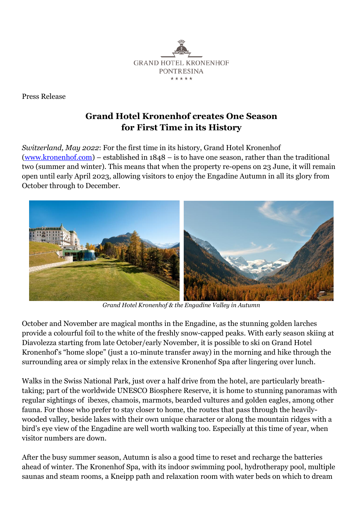

Press Release

## **Grand Hotel Kronenhof creates One Season for First Time in its History**

*Switzerland, May 2022*: For the first time in its history, [Grand Hotel Kronenhof](http://www.kronenhof.com/en.html) [\(www.kronenhof.com\)](http://www.kronenhof.com/) – established in 1848 – is to have one season, rather than the traditional two (summer and winter). This means that when the property re-opens on 23 June, it will remain open until early April 2023, allowing visitors to enjoy the Engadine Autumn in all its glory from October through to December.



*Grand Hotel Kronenhof & the Engadine Valley in Autumn*

October and November are magical months in the Engadine, as the stunning golden larches provide a colourful foil to the white of the freshly snow-capped peaks. With early season skiing at Diavolezza starting from late October/early November, it is possible to ski on Grand Hotel Kronenhof's "home slope" (just a 10-minute transfer away) in the morning and hike through the surrounding area or simply relax in the extensive Kronenhof Spa after lingering over lunch.

Walks in the Swiss National Park, just over a half drive from the hotel, are particularly breathtaking; part of the worldwide UNESCO Biosphere Reserve, it is home to stunning panoramas with regular sightings of ibexes, chamois, marmots, bearded vultures and golden eagles, among other fauna. For those who prefer to stay closer to home, the routes that pass through the heavilywooded valley, beside lakes with their own unique character or along the mountain ridges with a bird's eye view of the Engadine are well worth walking too. Especially at this time of year, when visitor numbers are down.

After the busy summer season, Autumn is also a good time to reset and recharge the batteries ahead of winter. The Kronenhof Spa, with its indoor swimming pool, hydrotherapy pool, multiple saunas and steam rooms, a Kneipp path and relaxation room with water beds on which to dream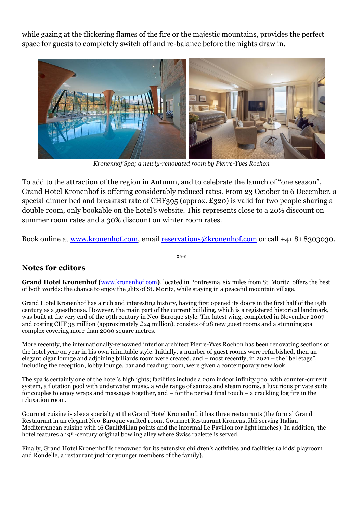while gazing at the flickering flames of the fire or the majestic mountains, provides the perfect space for guests to completely switch off and re-balance before the nights draw in.



*Kronenhof Spa; a newly-renovated room by Pierre-Yves Rochon*

To add to the attraction of the region in Autumn, and to celebrate the launch of "one season", Grand Hotel Kronenhof is offering considerably reduced rates. From 23 October to 6 December, a special dinner bed and breakfast rate of CHF395 (approx. £320) is valid for two people sharing a double room, only bookable on the hotel's website. This represents close to a 20% discount on summer room rates and a 30% discount on winter room rates.

Book online at [www.kronenhof.com,](http://www.kronenhof.com/) email [reservations@kronenhof.com](mailto:reservations@kronenhof.com) or call +41 81 8303030.

\*\*\*

## **Notes for editors**

Grand Hotel Kronenhof ([www.kronenhof.com](http://www.kronenhof.com/)), located in Pontresina, six miles from St. Moritz, offers the best of both worlds: the chance to enjoy the glitz of St. Moritz, while staying in a peaceful mountain village.

Grand Hotel Kronenhof has a rich and interesting history, having first opened its doors in the first half of the 19th century as a guesthouse. However, the main part of the current building, which is a registered historical landmark, was built at the very end of the 19th century in Neo-Baroque style. The latest wing, completed in November 2007 and costing CHF 35 million (approximately £24 million), consists of 28 new guest rooms and a stunning spa complex covering more than 2000 square metres.

More recently, the internationally-renowned interior architect Pierre-Yves Rochon has been renovating sections of the hotel year on year in his own inimitable style. Initially, a number of guest rooms were refurbished, then an elegant cigar lounge and adjoining billiards room were created, and – most recently, in 2021 – the "bel étage", including the reception, lobby lounge, bar and reading room, were given a contemporary new look.

The spa is certainly one of the hotel's highlights; facilities include a 20m indoor infinity pool with counter-current system, a flotation pool with underwater music, a wide range of saunas and steam rooms, a luxurious private suite for couples to enjoy wraps and massages together, and – for the perfect final touch – a crackling log fire in the relaxation room.

Gourmet cuisine is also a specialty at the Grand Hotel Kronenhof; it has three restaurants (the formal Grand Restaurant in an elegant Neo-Baroque vaulted room, Gourmet Restaurant Kronenstübli serving Italian-Mediterranean cuisine with 16 GaultMillau points and the informal Le Pavillon for light lunches). In addition, the hotel features a 19th-century original bowling alley where Swiss raclette is served.

Finally, Grand Hotel Kronenhof is renowned for its extensive children's activities and facilities (a kids' playroom and Rondelle, a restaurant just for younger members of the family).